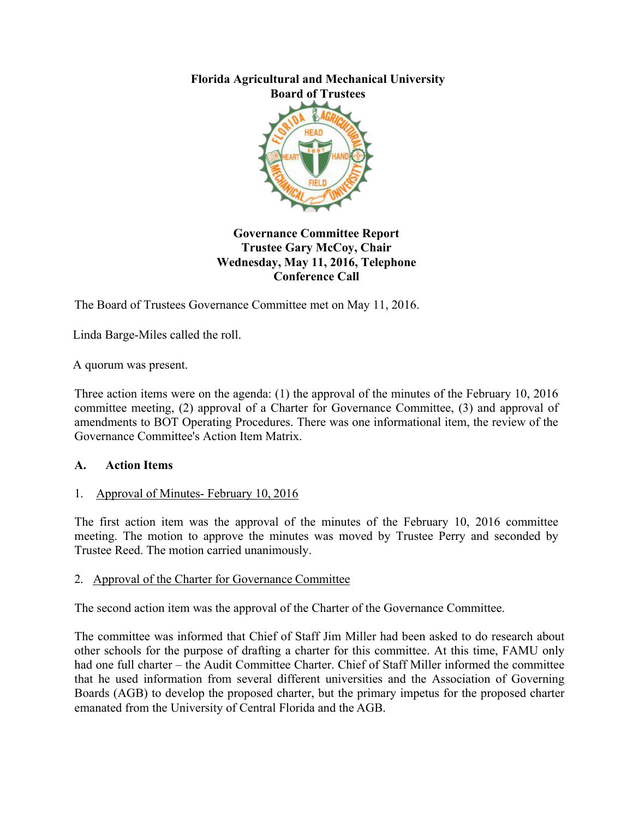

#### **Governance Committee Report Trustee Gary McCoy, Chair Wednesday, May 11, 2016, Telephone Conference Call**

The Board of Trustees Governance Committee met on May 11, 2016.

Linda Barge-Miles called the roll.

A quorum was present.

Three action items were on the agenda: (1) the approval of the minutes of the February 10, 2016 committee meeting, (2) approval of a Charter for Governance Committee, (3) and approval of amendments to BOT Operating Procedures. There was one informational item, the review of the Governance Committee's Action Item Matrix.

#### **A. Action Items**

#### 1. Approval of Minutes- February 10, 2016

The first action item was the approval of the minutes of the February 10, 2016 committee meeting. The motion to approve the minutes was moved by Trustee Perry and seconded by Trustee Reed. The motion carried unanimously.

#### 2. Approval of the Charter for Governance Committee

The second action item was the approval of the Charter of the Governance Committee.

The committee was informed that Chief of Staff Jim Miller had been asked to do research about other schools for the purpose of drafting a charter for this committee. At this time, FAMU only had one full charter – the Audit Committee Charter. Chief of Staff Miller informed the committee that he used information from several different universities and the Association of Governing Boards (AGB) to develop the proposed charter, but the primary impetus for the proposed charter emanated from the University of Central Florida and the AGB.